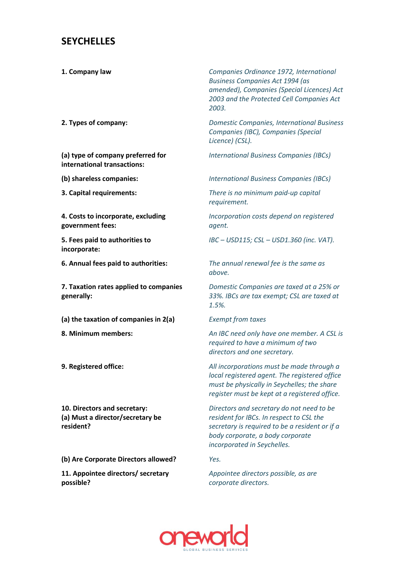## **SEYCHELLES**

**(a) type of company preferred for international transactions:** 

**4. Costs to incorporate, excluding government fees:** 

**5. Fees paid to authorities to incorporate:** 

**7. Taxation rates applied to companies generally:**

**(a) the taxation of companies in 2(a)** *Exempt from taxes*

**10. Directors and secretary: (a) Must a director/secretary be resident?** 

**(b) Are Corporate Directors allowed?** *Yes.*

**11. Appointee directors/ secretary possible?** 

**1. Company law** *Companies Ordinance 1972, International Business Companies Act 1994 (as amended), Companies (Special Licences) Act 2003 and the Protected Cell Companies Act 2003.*

**2. Types of company:** *Domestic Companies, International Business Companies (IBC), Companies (Special Licence) (CSL).* 

*International Business Companies (IBCs)*

**(b) shareless companies:** *International Business Companies (IBCs)* 

**3. Capital requirements:** *There is no minimum paid-up capital requirement.* 

> *Incorporation costs depend on registered agent.*

> *IBC – USD115; CSL – USD1.360 (inc. VAT).*

**6. Annual fees paid to authorities:** *The annual renewal fee is the same as above.*

> *Domestic Companies are taxed at a 25% or 33%. IBCs are tax exempt; CSL are taxed at 1.5%.*

**8. Minimum members:** *An IBC need only have one member. A CSL is required to have a minimum of two directors and one secretary.* 

**9. Registered office:** *All incorporations must be made through a local registered agent. The registered office must be physically in Seychelles; the share register must be kept at a registered office.* 

> *Directors and secretary do not need to be resident for IBCs. In respect to CSL the secretary is required to be a resident or if a body corporate, a body corporate incorporated in Seychelles.*

*Appointee directors possible, as are corporate directors.*